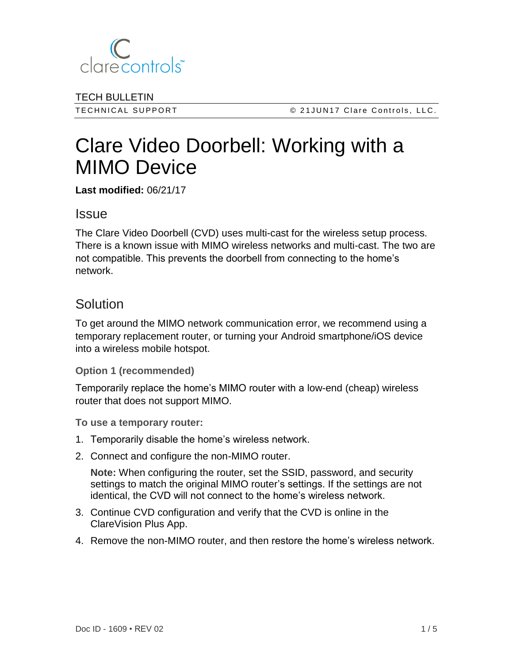

TECH BULLETIN

TECHNICAL SUPPORT CERT CONTROL SUPPORT CONSERVERSITY OF A LOST CONTROLLY CONTROLLY AND THE CONTROLLY STATES ON T

# Clare Video Doorbell: Working with a MIMO Device

**Last modified:** 06/21/17

### Issue

The Clare Video Doorbell (CVD) uses multi-cast for the wireless setup process. There is a known issue with MIMO wireless networks and multi-cast. The two are not compatible. This prevents the doorbell from connecting to the home's network.

## Solution

To get around the MIMO network communication error, we recommend using a temporary replacement router, or turning your Android smartphone/iOS device into a wireless mobile hotspot.

#### **Option 1 (recommended)**

Temporarily replace the home's MIMO router with a low-end (cheap) wireless router that does not support MIMO.

**To use a temporary router:**

- 1. Temporarily disable the home's wireless network.
- 2. Connect and configure the non-MIMO router.

**Note:** When configuring the router, set the SSID, password, and security settings to match the original MIMO router's settings. If the settings are not identical, the CVD will not connect to the home's wireless network.

- 3. Continue CVD configuration and verify that the CVD is online in the ClareVision Plus App.
- 4. Remove the non-MIMO router, and then restore the home's wireless network.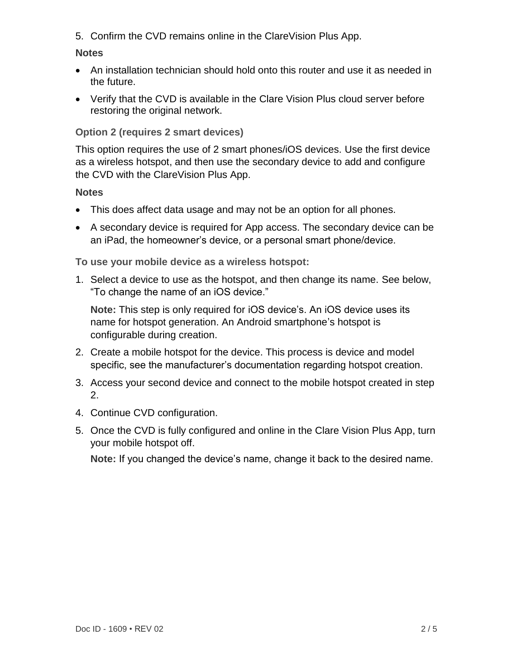5. Confirm the CVD remains online in the ClareVision Plus App.

#### **Notes**

- An installation technician should hold onto this router and use it as needed in the future.
- Verify that the CVD is available in the Clare Vision Plus cloud server before restoring the original network.

#### **Option 2 (requires 2 smart devices)**

This option requires the use of 2 smart phones/iOS devices. Use the first device as a wireless hotspot, and then use the secondary device to add and configure the CVD with the ClareVision Plus App.

#### **Notes**

- This does affect data usage and may not be an option for all phones.
- A secondary device is required for App access. The secondary device can be an iPad, the homeowner's device, or a personal smart phone/device.

**To use your mobile device as a wireless hotspot:** 

1. Select a device to use as the hotspot, and then change its name. See below, "To change the name of an iOS device."

**Note:** This step is only required for iOS device's. An iOS device uses its name for hotspot generation. An Android smartphone's hotspot is configurable during creation.

- 2. Create a mobile hotspot for the device. This process is device and model specific, see the manufacturer's documentation regarding hotspot creation.
- 3. Access your second device and connect to the mobile hotspot created in step 2.
- 4. Continue CVD configuration.
- 5. Once the CVD is fully configured and online in the Clare Vision Plus App, turn your mobile hotspot off.

**Note:** If you changed the device's name, change it back to the desired name.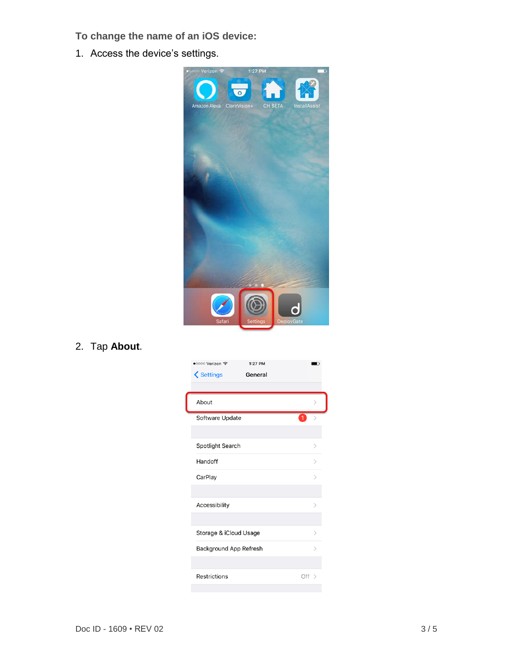- **To change the name of an iOS device:**
- 1. Access the device's settings.



2. Tap **About**.

| •○○○○ Verizon ক<br>1:27 PM<br><b>くSettings</b><br>General |               |
|-----------------------------------------------------------|---------------|
|                                                           |               |
| About                                                     |               |
| Software Update                                           |               |
|                                                           |               |
| Spotlight Search                                          | ⋋             |
| Handoff                                                   | ↘             |
| CarPlay                                                   | $\mathcal{E}$ |
|                                                           |               |
| Accessibility                                             | $\,>\,$       |
|                                                           |               |
| Storage & iCloud Usage                                    | ⋋             |
| Background App Refresh                                    | ↘             |
|                                                           |               |
| Restrictions                                              | Off $>$       |
|                                                           |               |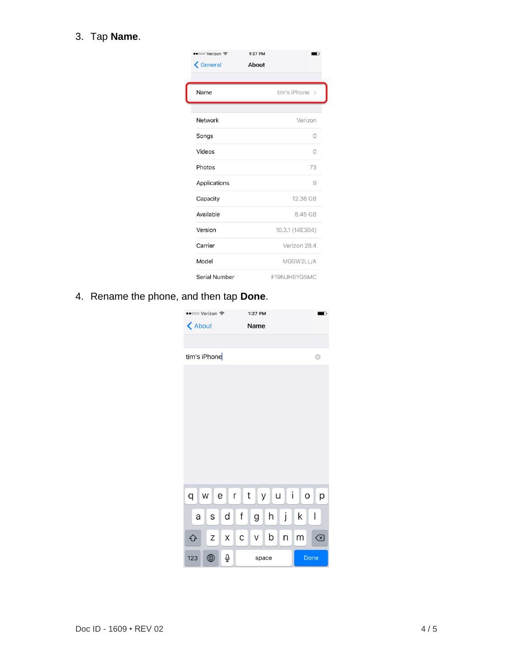#### 3. Tap **Name**.

| ••○○○ Verizon ক<br>$\bigwedge$ General | 1:27 PM<br>About |                 |
|----------------------------------------|------------------|-----------------|
| Name                                   |                  | tim's iPhone >  |
| Network                                |                  | Verizon         |
| Songs                                  |                  | $\Omega$        |
| Videos                                 |                  | $\bigcirc$      |
| Photos                                 |                  | 73              |
| Applications                           |                  | 9               |
| Capacity                               |                  | 12.36 GB        |
| Available                              |                  | 8.45 GB         |
| Version                                |                  | 10.3.1 (14E304) |
| Carrier                                |                  | Verizon 28.4    |
| Model                                  |                  | MG5W2LL/A       |
| Serial Number                          |                  | F19NJH6YG5MC    |

4. Rename the phone, and then tap **Done**.